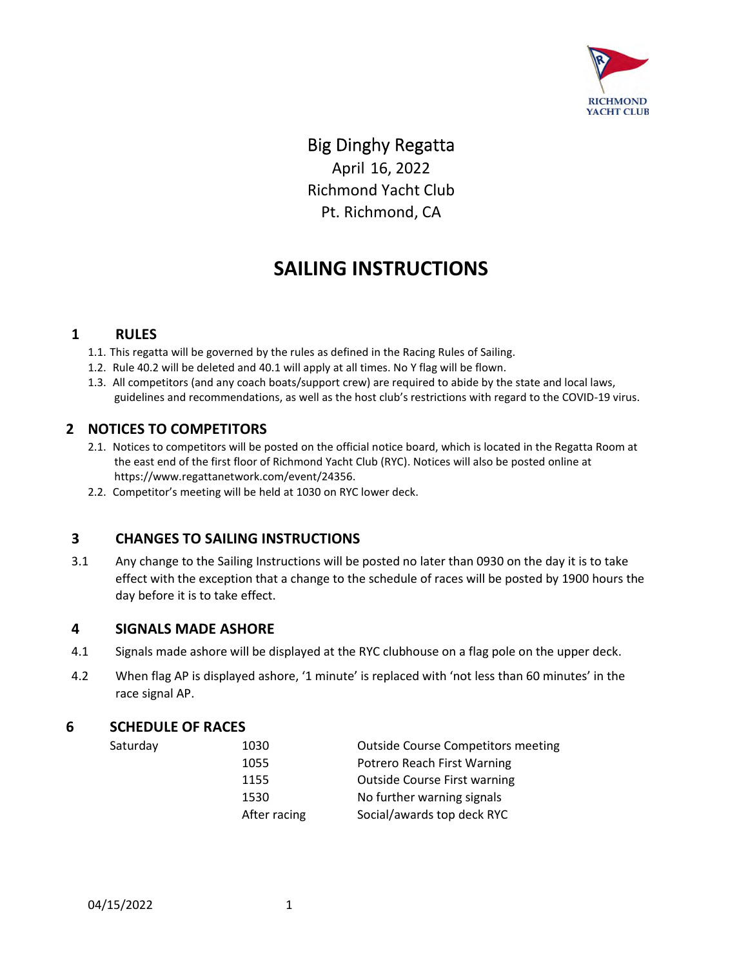

### Big Dinghy Regatta

April 16, 2022 Richmond Yacht Club Pt. Richmond, CA

## **SAILING INSTRUCTIONS**

#### **1 RULES**

- 1.1. This regatta will be governed by the rules as defined in the Racing Rules of Sailing.
- 1.2. Rule 40.2 will be deleted and 40.1 will apply at all times. No Y flag will be flown.
- 1.3. All competitors (and any coach boats/support crew) are required to abide by the state and local laws, guidelines and recommendations, as well as the host club's restrictions with regard to the COVID-19 virus.

#### **2 NOTICES TO COMPETITORS**

- 2.1. Notices to competitors will be posted on the official notice board, which is located in the Regatta Room at the east end of the first floor of Richmond Yacht Club (RYC). Notices will also be posted online at https://www.regattanetwork.com/event/24356.
- 2.2. Competitor's meeting will be held at 1030 on RYC lower deck.

#### **3 CHANGES TO SAILING INSTRUCTIONS**

3.1 Any change to the Sailing Instructions will be posted no later than 0930 on the day it is to take effect with the exception that a change to the schedule of races will be posted by 1900 hours the day before it is to take effect.

#### **4 SIGNALS MADE ASHORE**

- 4.1 Signals made ashore will be displayed at the RYC clubhouse on a flag pole on the upper deck.
- 4.2 When flag AP is displayed ashore, '1 minute' is replaced with 'not less than 60 minutes' in the race signal AP.

#### **6 SCHEDULE OF RACES**

Saturday

| <b>Outside Course Competitors meeting</b> |
|-------------------------------------------|
| Potrero Reach First Warning               |
| <b>Outside Course First warning</b>       |
| No further warning signals                |
| Social/awards top deck RYC                |
|                                           |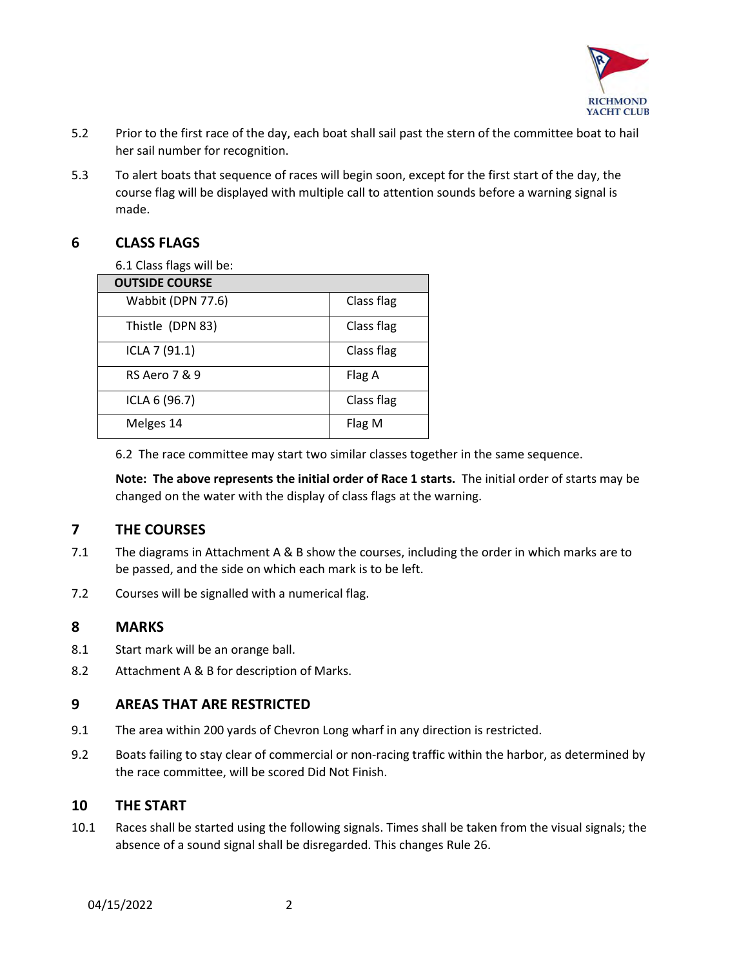

- 5.2 Prior to the first race of the day, each boat shall sail past the stern of the committee boat to hail her sail number for recognition.
- 5.3 To alert boats that sequence of races will begin soon, except for the first start of the day, the course flag will be displayed with multiple call to attention sounds before a warning signal is made.

#### **6 CLASS FLAGS**

6.1 Class flags will be:

| <b>OUTSIDE COURSE</b>    |            |
|--------------------------|------------|
| Wabbit (DPN 77.6)        | Class flag |
| Thistle (DPN 83)         | Class flag |
| ICLA 7 (91.1)            | Class flag |
| <b>RS Aero 7 &amp; 9</b> | Flag A     |
| ICLA 6 (96.7)            | Class flag |
| Melges 14                | Flag M     |

6.2 The race committee may start two similar classes together in the same sequence.

**Note: The above represents the initial order of Race 1 starts.** The initial order of starts may be changed on the water with the display of class flags at the warning.

#### **7 THE COURSES**

- 7.1 The diagrams in Attachment A & B show the courses, including the order in which marks are to be passed, and the side on which each mark is to be left.
- 7.2 Courses will be signalled with a numerical flag.

#### **8 MARKS**

- 8.1 Start mark will be an orange ball.
- 8.2 Attachment A & B for description of Marks.

#### **9 AREAS THAT ARE RESTRICTED**

- 9.1 The area within 200 yards of Chevron Long wharf in any direction is restricted.
- 9.2 Boats failing to stay clear of commercial or non-racing traffic within the harbor, as determined by the race committee, will be scored Did Not Finish.

#### **10 THE START**

10.1 Races shall be started using the following signals. Times shall be taken from the visual signals; the absence of a sound signal shall be disregarded. This changes Rule 26.

04/15/2022 2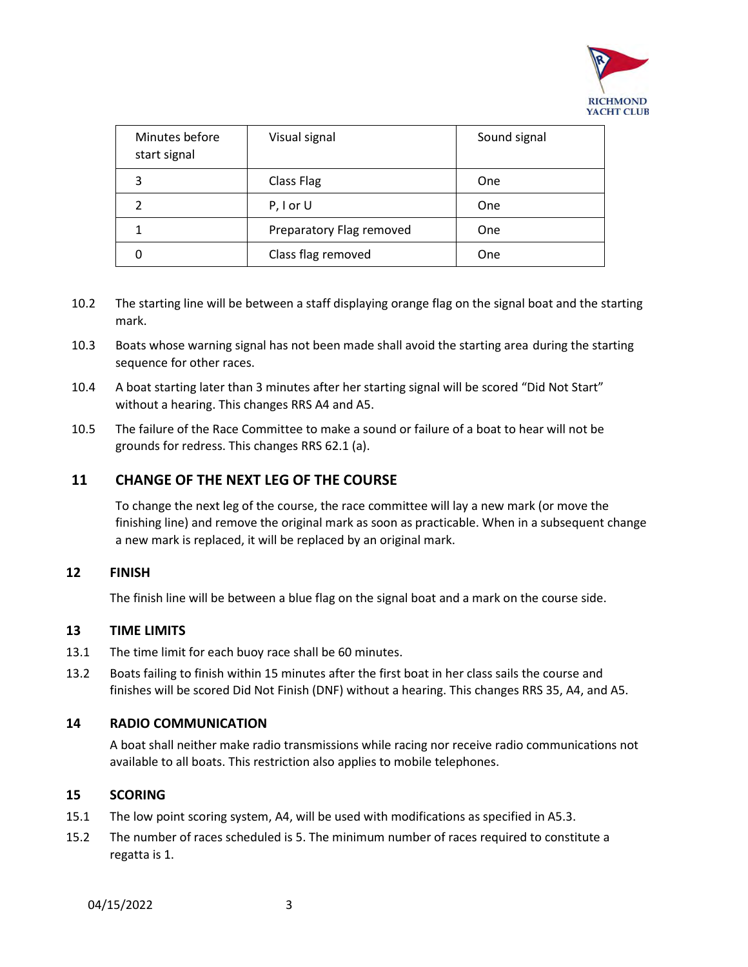

| Minutes before<br>start signal | Visual signal            | Sound signal |
|--------------------------------|--------------------------|--------------|
| 3                              | Class Flag               | One          |
|                                | $P, I$ or U              | One          |
|                                | Preparatory Flag removed | <b>One</b>   |
|                                | Class flag removed       | One          |

- 10.2 The starting line will be between a staff displaying orange flag on the signal boat and the starting mark.
- 10.3 Boats whose warning signal has not been made shall avoid the starting area during the starting sequence for other races.
- 10.4 A boat starting later than 3 minutes after her starting signal will be scored "Did Not Start" without a hearing. This changes RRS A4 and A5.
- 10.5 The failure of the Race Committee to make a sound or failure of a boat to hear will not be grounds for redress. This changes RRS 62.1 (a).

#### **11 CHANGE OF THE NEXT LEG OF THE COURSE**

To change the next leg of the course, the race committee will lay a new mark (or move the finishing line) and remove the original mark as soon as practicable. When in a subsequent change a new mark is replaced, it will be replaced by an original mark.

#### **12 FINISH**

The finish line will be between a blue flag on the signal boat and a mark on the course side.

#### **13 TIME LIMITS**

- 13.1 The time limit for each buoy race shall be 60 minutes.
- 13.2 Boats failing to finish within 15 minutes after the first boat in her class sails the course and finishes will be scored Did Not Finish (DNF) without a hearing. This changes RRS 35, A4, and A5.

#### **14 RADIO COMMUNICATION**

A boat shall neither make radio transmissions while racing nor receive radio communications not available to all boats. This restriction also applies to mobile telephones.

#### **15 SCORING**

- 15.1 The low point scoring system, A4, will be used with modifications as specified in A5.3.
- 15.2 The number of races scheduled is 5. The minimum number of races required to constitute a regatta is 1.

04/15/2022 3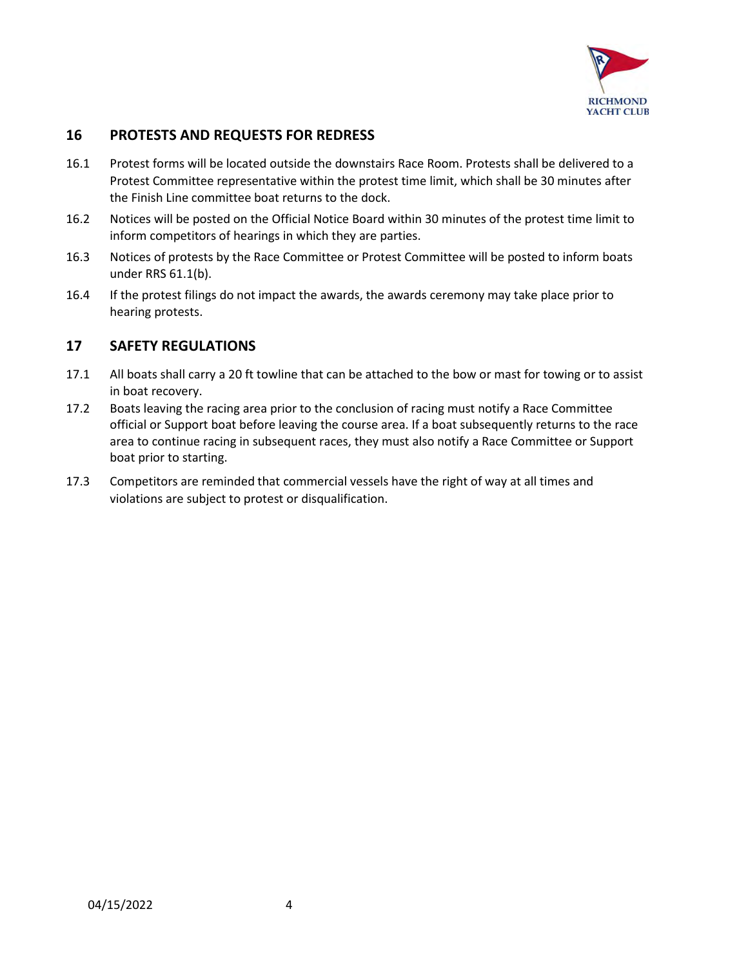

#### **16 PROTESTS AND REQUESTS FOR REDRESS**

- 16.1 Protest forms will be located outside the downstairs Race Room. Protests shall be delivered to a Protest Committee representative within the protest time limit, which shall be 30 minutes after the Finish Line committee boat returns to the dock.
- 16.2 Notices will be posted on the Official Notice Board within 30 minutes of the protest time limit to inform competitors of hearings in which they are parties.
- 16.3 Notices of protests by the Race Committee or Protest Committee will be posted to inform boats under RRS 61.1(b).
- 16.4 If the protest filings do not impact the awards, the awards ceremony may take place prior to hearing protests.

#### **17 SAFETY REGULATIONS**

- 17.1 All boats shall carry a 20 ft towline that can be attached to the bow or mast for towing or to assist in boat recovery.
- 17.2 Boats leaving the racing area prior to the conclusion of racing must notify a Race Committee official or Support boat before leaving the course area. If a boat subsequently returns to the race area to continue racing in subsequent races, they must also notify a Race Committee or Support boat prior to starting.
- 17.3 Competitors are reminded that commercial vessels have the right of way at all times and violations are subject to protest or disqualification.